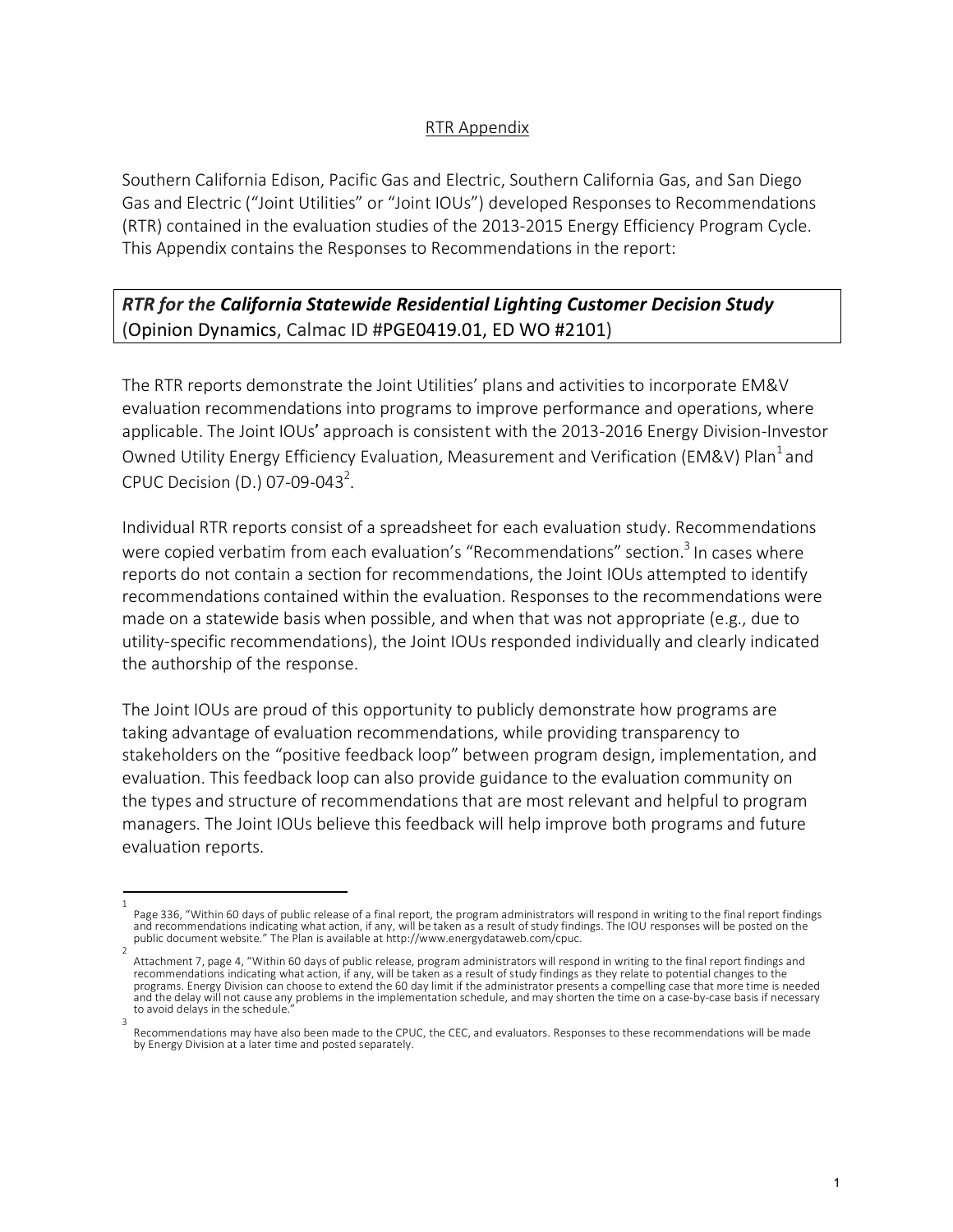## RTR Appendix

Southern California Edison, Pacific Gas and Electric, Southern California Gas, and San Diego Gas and Electric ("Joint Utilities" or "Joint IOUs") developed Responses to Recommendations (RTR) contained in the evaluation studies of the 2013-2015 Energy Efficiency Program Cycle. This Appendix contains the Responses to Recommendations in the report:

# *RTR for the California Statewide Residential Lighting Customer Decision Study* (Opinion Dynamics, Calmac ID #PGE0419.01, ED WO #2101)

The RTR reports demonstrate the Joint Utilities' plans and activities to incorporate EM&V evaluation recommendations into programs to improve performance and operations, where applicable. The Joint IOUs' approach is consistent with the 2013-2016 Energy Division-Investor Owned Utility Energy Efficiency Evaluation, Measurement and Verification (EM&V) Plan<sup>1</sup> and CPUC Decision (D.) 07-09-043<sup>2</sup>.

Individual RTR reports consist of a spreadsheet for each evaluation study. Recommendations were copied verbatim from each evaluation's "Recommendations" section.<sup>3</sup> In cases where reports do not contain a section for recommendations, the Joint IOUs attempted to identify recommendations contained within the evaluation. Responses to the recommendations were made on a statewide basis when possible, and when that was not appropriate (e.g., due to utility-specific recommendations), the Joint IOUs responded individually and clearly indicated the authorship of the response.

The Joint IOUs are proud of this opportunity to publicly demonstrate how programs are taking advantage of evaluation recommendations, while providing transparency to stakeholders on the "positive feedback loop" between program design, implementation, and evaluation. This feedback loop can also provide guidance to the evaluation community on the types and structure of recommendations that are most relevant and helpful to program managers. The Joint IOUs believe this feedback will help improve both programs and future evaluation reports.

<sup>1</sup>  Page 336, "Within 60 days of public release of a final report, the program administrators will respond in writing to the final report findings<br>and recommendations indicating what action, if any, will be taken as a result o public document website." The Plan is available at http://www.energydataweb.com/cpuc.

Attachment 7, page 4, "Within 60 days of public release, program administrators will respond in writing to the final report findings and recommendations indicating what action, if any, will be taken as a result of study findings as they relate to potential changes to the programs. Energy Division can choose to extend the 60 day limit if the administrator presents a compelling case that more time is needed and the delay will not cause any problems in the implementation schedule, and may shorten the time on a case-by-case basis if necessary to avoid delays in the schedule. 3

Recommendations may have also been made to the CPUC, the CEC, and evaluators. Responses to these recommendations will be made by Energy Division at a later time and posted separately.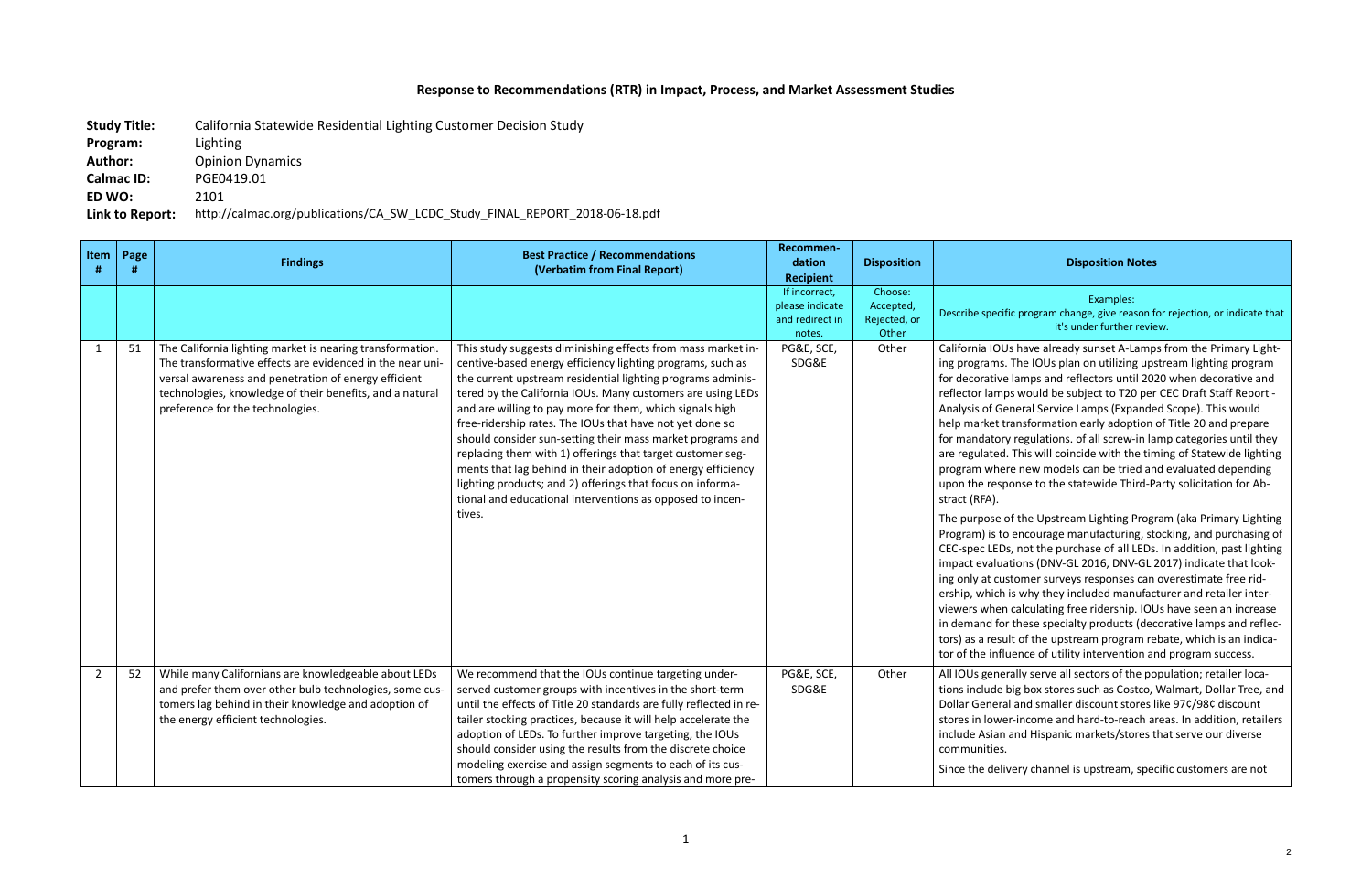## **Response to Recommendations (RTR) in Impact, Process, and Market Assessment Studies**

**Study Title:** California Statewide Residential Lighting Customer Decision Study

**Program:** Lighting

**Author:** Opinion Dynamics

**Calmac ID:** PGE0419.01

**ED WO:** 2101

**Link to Report:** http://calmac.org/publications/CA\_SW\_LCDC\_Study\_FINAL\_REPORT\_2018-06-18.pdf

c program change, give reason for rejection, or indicate that it's under further review.

Is have already sunset A-Lamps from the Primary Light-The IOUs plan on utilizing upstream lighting program lamps and reflectors until 2020 when decorative and os would be subject to T20 per CEC Draft Staff Report neral Service Lamps (Expanded Scope). This would ransformation early adoption of Title 20 and prepare regulations. of all screw-in lamp categories until they This will coincide with the timing of Statewide lighting re new models can be tried and evaluated depending onse to the statewide Third-Party solicitation for Ab-

of the Upstream Lighting Program (aka Primary Lighting encourage manufacturing, stocking, and purchasing of s, not the purchase of all LEDs. In addition, past lighting tions (DNV-GL 2016, DNV-GL 2017) indicate that lookstomer surveys responses can overestimate free ridis why they included manufacturer and retailer intercalculating free ridership. IOUs have seen an increase these specialty products (decorative lamps and reflec-It of the upstream program rebate, which is an indicathe ince of utility intervention and program success.

rally serve all sectors of the population; retailer locabig box stores such as Costco, Walmart, Dollar Tree, and l and smaller discount stores like 97¢/98¢ discount r-income and hard-to-reach areas. In addition, retailers and Hispanic markets/stores that serve our diverse

ery channel is upstream, specific customers are not

#### **Disposition Disposition Notes**

#### Examples:

| Item<br>#      | Page<br># | <b>Findings</b>                                                                                                                                                                                                                                                                | <b>Best Practice / Recommendations</b><br>(Verbatim from Final Report)                                                                                                                                                                                                                                                                                                                                                                                                                                                                                                                                                                                                                                            | Recommen-<br>dation<br><b>Recipient</b>                       | <b>Disposition</b>                            |                                                                                                                                                                                                                                                                                                                                                                                           |
|----------------|-----------|--------------------------------------------------------------------------------------------------------------------------------------------------------------------------------------------------------------------------------------------------------------------------------|-------------------------------------------------------------------------------------------------------------------------------------------------------------------------------------------------------------------------------------------------------------------------------------------------------------------------------------------------------------------------------------------------------------------------------------------------------------------------------------------------------------------------------------------------------------------------------------------------------------------------------------------------------------------------------------------------------------------|---------------------------------------------------------------|-----------------------------------------------|-------------------------------------------------------------------------------------------------------------------------------------------------------------------------------------------------------------------------------------------------------------------------------------------------------------------------------------------------------------------------------------------|
|                |           |                                                                                                                                                                                                                                                                                |                                                                                                                                                                                                                                                                                                                                                                                                                                                                                                                                                                                                                                                                                                                   | If incorrect,<br>please indicate<br>and redirect in<br>notes. | Choose:<br>Accepted,<br>Rejected, or<br>Other | Describe specifi                                                                                                                                                                                                                                                                                                                                                                          |
| $\mathbf{1}$   | 51        | The California lighting market is nearing transformation.<br>The transformative effects are evidenced in the near uni-<br>versal awareness and penetration of energy efficient<br>technologies, knowledge of their benefits, and a natural<br>preference for the technologies. | This study suggests diminishing effects from mass market in-<br>centive-based energy efficiency lighting programs, such as<br>the current upstream residential lighting programs adminis-<br>tered by the California IOUs. Many customers are using LEDs<br>and are willing to pay more for them, which signals high<br>free-ridership rates. The IOUs that have not yet done so<br>should consider sun-setting their mass market programs and<br>replacing them with 1) offerings that target customer seg-<br>ments that lag behind in their adoption of energy efficiency<br>lighting products; and 2) offerings that focus on informa-<br>tional and educational interventions as opposed to incen-<br>tives. | PG&E, SCE,<br>SDG&E                                           | Other                                         | California IOU:<br>ing programs.<br>for decorative<br>reflector lamp<br>Analysis of Ge<br>help market tr<br>for mandatory<br>are regulated.<br>program wher<br>upon the resp<br>stract (RFA).<br>The purpose o<br>Program) is to<br><b>CEC-spec LEDs</b><br>impact evaluat<br>ing only at cus<br>ership, which i<br>viewers when<br>in demand for<br>tors) as a resul<br>tor of the influ |
| $\overline{2}$ | 52        | While many Californians are knowledgeable about LEDs<br>and prefer them over other bulb technologies, some cus-<br>tomers lag behind in their knowledge and adoption of<br>the energy efficient technologies.                                                                  | We recommend that the IOUs continue targeting under-<br>served customer groups with incentives in the short-term<br>until the effects of Title 20 standards are fully reflected in re-<br>tailer stocking practices, because it will help accelerate the<br>adoption of LEDs. To further improve targeting, the IOUs<br>should consider using the results from the discrete choice<br>modeling exercise and assign segments to each of its cus-<br>tomers through a propensity scoring analysis and more pre-                                                                                                                                                                                                     | PG&E, SCE,<br>SDG&E                                           | Other                                         | All IOUs gener<br>tions include b<br><b>Dollar General</b><br>stores in lower<br>include Asian a<br>communities.<br>Since the deliv                                                                                                                                                                                                                                                       |